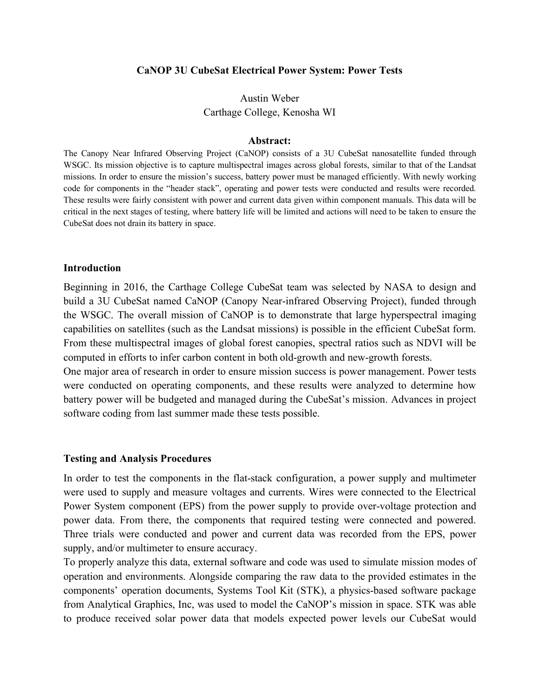## **CaNOP 3U CubeSat Electrical Power System: Power Tests**

Austin Weber Carthage College, Kenosha WI

### **Abstract:**

The Canopy Near Infrared Observing Project (CaNOP) consists of a 3U CubeSat nanosatellite funded through WSGC. Its mission objective is to capture multispectral images across global forests, similar to that of the Landsat missions. In order to ensure the mission's success, battery power must be managed efficiently. With newly working code for components in the "header stack", operating and power tests were conducted and results were recorded. These results were fairly consistent with power and current data given within component manuals. This data will be critical in the next stages of testing, where battery life will be limited and actions will need to be taken to ensure the CubeSat does not drain its battery in space.

### **Introduction**

Beginning in 2016, the Carthage College CubeSat team was selected by NASA to design and build a 3U CubeSat named CaNOP (Canopy Near-infrared Observing Project), funded through the WSGC. The overall mission of CaNOP is to demonstrate that large hyperspectral imaging capabilities on satellites (such as the Landsat missions) is possible in the efficient CubeSat form. From these multispectral images of global forest canopies, spectral ratios such as NDVI will be computed in efforts to infer carbon content in both old-growth and new-growth forests.

One major area of research in order to ensure mission success is power management. Power tests were conducted on operating components, and these results were analyzed to determine how battery power will be budgeted and managed during the CubeSat's mission. Advances in project software coding from last summer made these tests possible.

#### **Testing and Analysis Procedures**

In order to test the components in the flat-stack configuration, a power supply and multimeter were used to supply and measure voltages and currents. Wires were connected to the Electrical Power System component (EPS) from the power supply to provide over-voltage protection and power data. From there, the components that required testing were connected and powered. Three trials were conducted and power and current data was recorded from the EPS, power supply, and/or multimeter to ensure accuracy.

To properly analyze this data, external software and code was used to simulate mission modes of operation and environments. Alongside comparing the raw data to the provided estimates in the components' operation documents, Systems Tool Kit (STK), a physics-based software package from Analytical Graphics, Inc, was used to model the CaNOP's mission in space. STK was able to produce received solar power data that models expected power levels our CubeSat would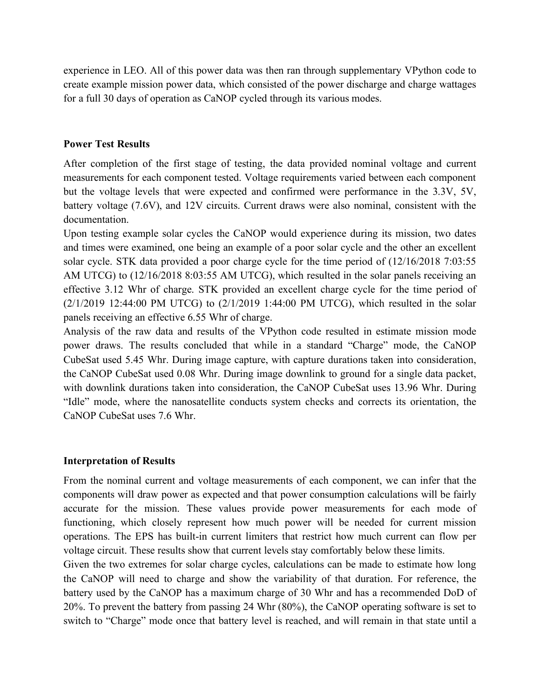experience in LEO. All of this power data was then ran through supplementary VPython code to create example mission power data, which consisted of the power discharge and charge wattages for a full 30 days of operation as CaNOP cycled through its various modes.

## **Power Test Results**

After completion of the first stage of testing, the data provided nominal voltage and current measurements for each component tested. Voltage requirements varied between each component but the voltage levels that were expected and confirmed were performance in the 3.3V, 5V, battery voltage (7.6V), and 12V circuits. Current draws were also nominal, consistent with the documentation.

Upon testing example solar cycles the CaNOP would experience during its mission, two dates and times were examined, one being an example of a poor solar cycle and the other an excellent solar cycle. STK data provided a poor charge cycle for the time period of (12/16/2018 7:03:55 AM UTCG) to (12/16/2018 8:03:55 AM UTCG), which resulted in the solar panels receiving an effective 3.12 Whr of charge. STK provided an excellent charge cycle for the time period of  $(2/1/2019 \ 12:44:00 \ PM \ UTCG)$  to  $(2/1/2019 \ 1:44:00 \ PM \ UTCG)$ , which resulted in the solar panels receiving an effective 6.55 Whr of charge.

Analysis of the raw data and results of the VPython code resulted in estimate mission mode power draws. The results concluded that while in a standard "Charge" mode, the CaNOP CubeSat used 5.45 Whr. During image capture, with capture durations taken into consideration, the CaNOP CubeSat used 0.08 Whr. During image downlink to ground for a single data packet, with downlink durations taken into consideration, the CaNOP CubeSat uses 13.96 Whr. During "Idle" mode, where the nanosatellite conducts system checks and corrects its orientation, the CaNOP CubeSat uses 7.6 Whr.

# **Interpretation of Results**

From the nominal current and voltage measurements of each component, we can infer that the components will draw power as expected and that power consumption calculations will be fairly accurate for the mission. These values provide power measurements for each mode of functioning, which closely represent how much power will be needed for current mission operations. The EPS has built-in current limiters that restrict how much current can flow per voltage circuit. These results show that current levels stay comfortably below these limits.

Given the two extremes for solar charge cycles, calculations can be made to estimate how long the CaNOP will need to charge and show the variability of that duration. For reference, the battery used by the CaNOP has a maximum charge of 30 Whr and has a recommended DoD of 20%. To prevent the battery from passing 24 Whr (80%), the CaNOP operating software is set to switch to "Charge" mode once that battery level is reached, and will remain in that state until a